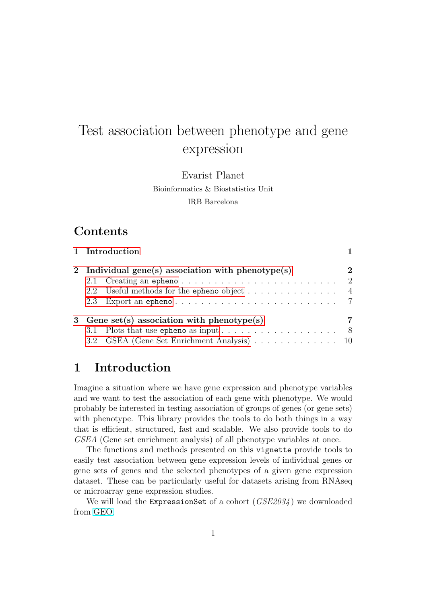# Test association between phenotype and gene expression

Evarist Planet Bioinformatics & Biostatistics Unit IRB Barcelona

### Contents

|                                                    | 1 Introduction                                                                   |  |  |
|----------------------------------------------------|----------------------------------------------------------------------------------|--|--|
| 2 Individual gene(s) association with phenotype(s) |                                                                                  |  |  |
|                                                    |                                                                                  |  |  |
|                                                    | 2.2 Useful methods for the epheno object $\dots \dots \dots \dots \dots$         |  |  |
|                                                    |                                                                                  |  |  |
|                                                    | 3 Gene set(s) association with phenotype(s)                                      |  |  |
|                                                    | 3.1 Plots that use epheno as input $\dots \dots \dots \dots \dots \dots \dots$ 8 |  |  |
|                                                    | 3.2 GSEA (Gene Set Enrichment Analysis) 10                                       |  |  |

## <span id="page-0-0"></span>1 Introduction

Imagine a situation where we have gene expression and phenotype variables and we want to test the association of each gene with phenotype. We would probably be interested in testing association of groups of genes (or gene sets) with phenotype. This library provides the tools to do both things in a way that is efficient, structured, fast and scalable. We also provide tools to do GSEA (Gene set enrichment analysis) of all phenotype variables at once.

The functions and methods presented on this vignette provide tools to easily test association between gene expression levels of individual genes or gene sets of genes and the selected phenotypes of a given gene expression dataset. These can be particularly useful for datasets arising from RNAseq or microarray gene expression studies.

We will load the ExpressionSet of a cohort  $(GSE2034)$  we downloaded from [GEO.](http://www.ncbi.nlm.nih.gov/geo/)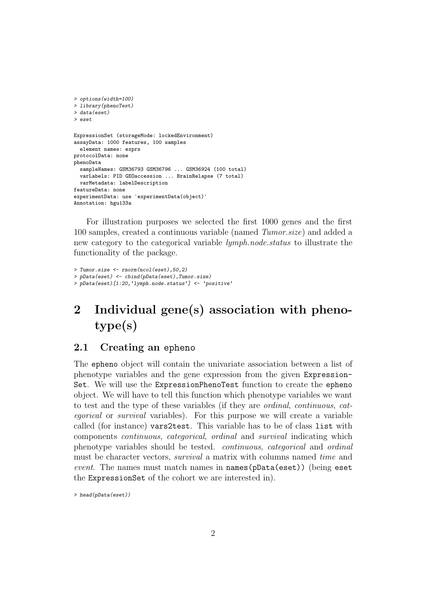```
> options(width=100)
> library(phenoTest)
> data(eset)
> eset
ExpressionSet (storageMode: lockedEnvironment)
assayData: 1000 features, 100 samples
  element names: exprs
protocolData: none
phenoData
  sampleNames: GSM36793 GSM36796 ... GSM36924 (100 total)
  varLabels: PID GEOaccession ... BrainRelapse (7 total)
  varMetadata: labelDescription
featureData: none
experimentData: use 'experimentData(object)'
Annotation: hgu133a
```
For illustration purposes we selected the first 1000 genes and the first 100 samples, created a continuous variable (named Tumor.size) and added a new category to the categorical variable *lymph.node.status* to illustrate the functionality of the package.

```
> Tumor.size <- rnorm(ncol(eset),50,2)
> pData(eset) <- cbind(pData(eset),Tumor.size)
> pData(eset)[1:20,'lymph.node.status'] <- 'positive'
```
# <span id="page-1-0"></span>2 Individual gene(s) association with phenotype(s)

#### <span id="page-1-1"></span>2.1 Creating an epheno

The epheno object will contain the univariate association between a list of phenotype variables and the gene expression from the given Expression-Set. We will use the ExpressionPhenoTest function to create the epheno object. We will have to tell this function which phenotype variables we want to test and the type of these variables (if they are ordinal, continuous, categorical or survival variables). For this purpose we will create a variable called (for instance) vars2test. This variable has to be of class list with components continuous, categorical, ordinal and survival indicating which phenotype variables should be tested. continuous, categorical and ordinal must be character vectors, survival a matrix with columns named time and event. The names must match names in names(pData(eset)) (being eset the ExpressionSet of the cohort we are interested in).

> head(pData(eset))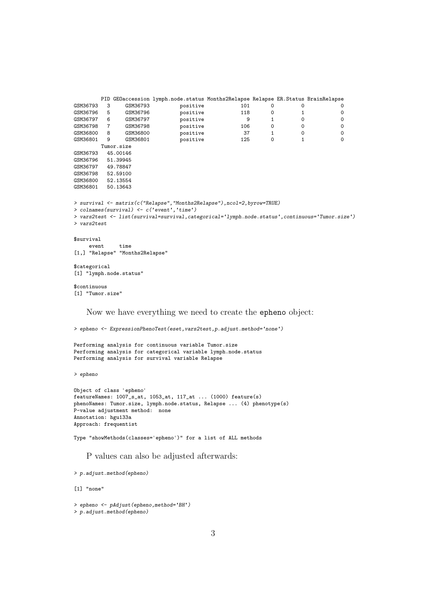```
PID GEOaccession lymph.node.status Months2Relapse Relapse ER.Status BrainRelapse
GSM36793 3 GSM36793 positive 101 0 0 0
GSM36796 5 GSM36796 positive 118 0 1 0
GSM36797 6 GSM36797 positive 9 1 0 0
GSM36798 7 GSM36798 positive 106 0 0 0
GSM36800 8 GSM36800 positive 37 1 0 0
GSM36801 9 GSM36801 positive 125 0 1 0
      Tumor.size
GSM36793 45.00146
GSM36796 51.39945
GSM36797 49.78847
GSM36798 52.59100
GSM36800 52.13554
GSM36801 50.13643
> survival <- matrix(c("Relapse","Months2Relapse"),ncol=2,byrow=TRUE)
> colnames(survival) <- c('event','time')
> vars2test <- list(survival=survival,categorical='lymph.node.status',continuous='Tumor.size')
> vars2test
$survival
   event time
[1,] "Relapse" "Months2Relapse"
$categorical
[1] "lymph.node.status"
$continuous
[1] "Tumor.size"
   Now we have everything we need to create the epheno object:
> epheno <- ExpressionPhenoTest(eset,vars2test,p.adjust.method='none')
Performing analysis for continuous variable Tumor.size
Performing analysis for categorical variable lymph.node.status
Performing analysis for survival variable Relapse
> epheno
Object of class 'epheno'
featureNames: 1007_s_at, 1053_at, 117_at ... (1000) feature(s)
phenoNames: Tumor.size, lymph.node.status, Relapse ... (4) phenotype(s)
P-value adjustment method: none
Annotation: hgu133a
```
Type "showMethods(classes='epheno')" for a list of ALL methods

P values can also be adjusted afterwards:

> p.adjust.method(epheno)

Approach: frequentist

[1] "none"

```
> epheno <- pAdjust(epheno,method='BH')
> p.adjust.method(epheno)
```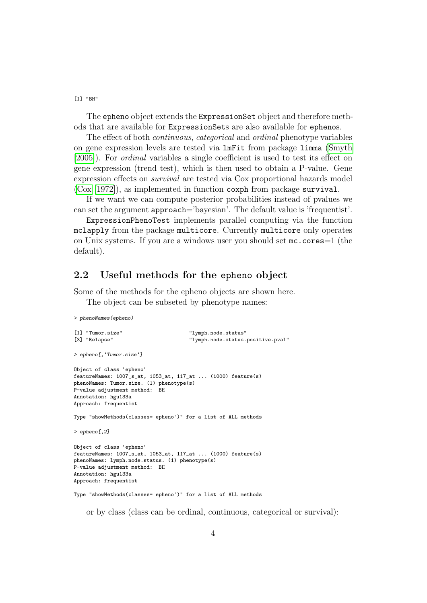[1] "BH"

The epheno object extends the ExpressionSet object and therefore methods that are available for ExpressionSets are also available for ephenos.

The effect of both continuous, categorical and ordinal phenotype variables on gene expression levels are tested via lmFit from package limma [\(Smyth](#page-13-0) [\[2005\]](#page-13-0)). For ordinal variables a single coefficient is used to test its effect on gene expression (trend test), which is then used to obtain a P-value. Gene expression effects on survival are tested via Cox proportional hazards model [\(Cox](#page-13-1) [\[1972\]](#page-13-1)), as implemented in function coxph from package survival.

If we want we can compute posterior probabilities instead of pvalues we can set the argument approach='bayesian'. The default value is 'frequentist'.

ExpressionPhenoTest implements parallel computing via the function mclapply from the package multicore. Currently multicore only operates on Unix systems. If you are a windows user you should set mc.cores=1 (the default).

#### <span id="page-3-0"></span>2.2 Useful methods for the epheno object

Some of the methods for the epheno objects are shown here.

The object can be subseted by phenotype names:

```
> phenoNames(epheno)
```

```
[1] "Tumor.size" \begin{array}{ccc}\n 1 & \text{Number:} & \text{Number:} & \text{Number:} \\
 2 & \text{The image:} & \text{Number:} & \text{Number:} & \text{Number:} \\
 3 & \text{The image:} & \text{Number:} & \text{Number:} & \text{Number:} \\
 4 & \text{The image:} & \text{The image:} & \text{The image:} \\
 5 & \text{The image:} & \text{The image:} & \text{The image:} \\
 6 & \text{The image:} & \text{The image:} & \text{The image:} \\
 7 & \text{The image:} & \text{The image:} & \text{The image:} \\
                                                                 "lymph.node.status.positive.pval"
> epheno[,'Tumor.size']
Object of class 'epheno'
featureNames: 1007_s_at, 1053_at, 117_at ... (1000) feature(s)
phenoNames: Tumor.size. (1) phenotype(s)
P-value adjustment method: BH
Annotation: hgu133a
Approach: frequentist
Type "showMethods(classes='epheno')" for a list of ALL methods
> epheno[,2]
Object of class 'epheno'
featureNames: 1007_s_at, 1053_at, 117_at ... (1000) feature(s)
phenoNames: lymph.node.status. (1) phenotype(s)
P-value adjustment method: BH
Annotation: hgu133a
Approach: frequentist
Type "showMethods(classes='epheno')" for a list of ALL methods
```
or by class (class can be ordinal, continuous, categorical or survival):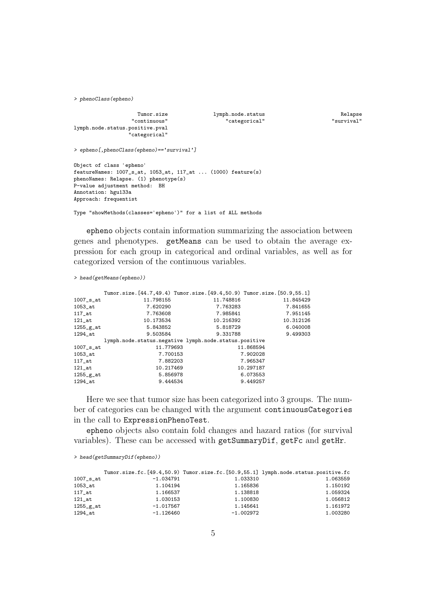> phenoClass(epheno)

```
Tumor.size 1ymph.node.status Relapse Relapse Relapse Relapse Relapse Relapse Relapse
                                                   " categorical"
lymph.node.status.positive.pval
                  "categorical"
> epheno[,phenoClass(epheno)=='survival']
Object of class 'epheno'
featureNames: 1007_s_at, 1053_at, 117_at ... (1000) feature(s)
phenoNames: Relapse. (1) phenotype(s)
P-value adjustment method: BH
Annotation: hgu133a
Approach: frequentist
```
Type "showMethods(classes='epheno')" for a list of ALL methods

epheno objects contain information summarizing the association between genes and phenotypes. getMeans can be used to obtain the average expression for each group in categorical and ordinal variables, as well as for categorized version of the continuous variables.

> head(getMeans(epheno))

|                        | Tumor.size. [44.7,49.4) Tumor.size. [49.4,50.9) Tumor.size. [50.9,55.1] |           |           |
|------------------------|-------------------------------------------------------------------------|-----------|-----------|
| $1007$ _s_at           | 11.798155                                                               | 11.748816 | 11.845429 |
| $1053$ <sub>-at</sub>  | 7.620290                                                                | 7.763283  | 7.841655  |
| 117 at                 | 7.763608                                                                | 7.985841  | 7.951145  |
| $121$ _at              | 10.173534                                                               | 10.216392 | 10.312126 |
| $1255_{\texttt{g}_at}$ | 5.843852                                                                | 5.818729  | 6.040008  |
| 1294 at                | 9.503584                                                                | 9.331788  | 9.499303  |
|                        | lymph.node.status.negative lymph.node.status.positive                   |           |           |
| $1007$ _s_at           | 11.779693                                                               |           | 11.868594 |
| $1053$ <sub>-at</sub>  | 7.700153                                                                |           | 7.902028  |
| $117$ _at              | 7.882203                                                                |           | 7.965347  |
| $121$ _at              | 10.217469                                                               |           | 10.297187 |
| $1255_{\texttt{g}_at}$ | 5.856978                                                                |           | 6.073553  |
| 1294 at                | 9.444534                                                                |           | 9.449257  |
|                        |                                                                         |           |           |

Here we see that tumor size has been categorized into 3 groups. The number of categories can be changed with the argument continuousCategories in the call to ExpressionPhenoTest.

epheno objects also contain fold changes and hazard ratios (for survival variables). These can be accessed with getSummaryDif, getFc and getHr.

> head(getSummaryDif(epheno))

|                          |             |             | Tumor.size.fc.[49.4,50.9) Tumor.size.fc.[50.9,55.1] lymph.node.status.positive.fc |
|--------------------------|-------------|-------------|-----------------------------------------------------------------------------------|
| $1007$ _ $s$ _at         | $-1.034791$ | 1.033310    | 1.063559                                                                          |
| $1053$ _at               | 1.104194    | 1.165836    | 1.150192                                                                          |
| $117$ _at                | 1.166537    | 1.138818    | 1.059324                                                                          |
| $121$ at                 | 1.030153    | 1.100830    | 1.056812                                                                          |
| $1255$ <sub>_g</sub> _at | $-1.017567$ | 1.145641    | 1.161972                                                                          |
| 1294 at                  | $-1.126460$ | $-1.002972$ | 1.003280                                                                          |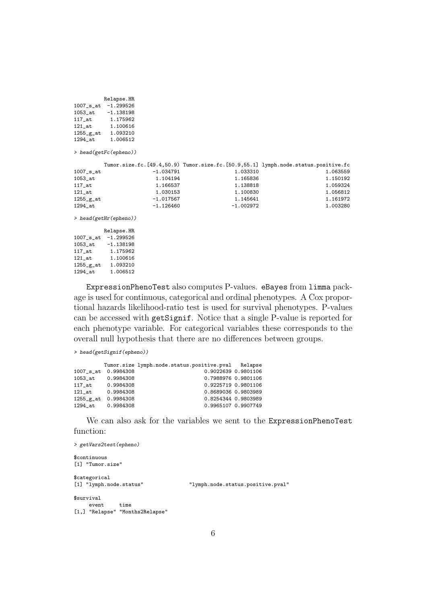|                       | Relapse.HR                        |             |             |                                                                                   |
|-----------------------|-----------------------------------|-------------|-------------|-----------------------------------------------------------------------------------|
|                       | 1007_s_at -1.299526               |             |             |                                                                                   |
|                       | $1053$ <sub>-at</sub> $-1.138198$ |             |             |                                                                                   |
|                       | 117_at   1.175962                 |             |             |                                                                                   |
|                       | 121_at   1.100616                 |             |             |                                                                                   |
|                       | 1255_g_at 1.093210                |             |             |                                                                                   |
|                       | 1294_at   1.006512                |             |             |                                                                                   |
|                       | $>$ head(getFc(epheno))           |             |             |                                                                                   |
|                       |                                   |             |             | Tumor.size.fc.[49.4,50.9) Tumor.size.fc.[50.9,55.1] lymph.node.status.positive.fc |
| $1007$ _s_at          |                                   | $-1.034791$ | 1.033310    | 1.063559                                                                          |
| $1053$ <sub>-at</sub> |                                   | 1.104194    | 1.165836    | 1.150192                                                                          |
| $117$ _at             |                                   | 1.166537    | 1.138818    | 1.059324                                                                          |
| $121$ _at             |                                   | 1.030153    | 1.100830    | 1.056812                                                                          |
| $1255-g-at$           |                                   | $-1.017567$ | 1.145641    | 1.161972                                                                          |
| $1294$ <sub>-at</sub> |                                   | -1.126460   | $-1.002972$ | 1.003280                                                                          |
|                       | $>$ head(getHr(epheno))           |             |             |                                                                                   |
|                       | Relapse.HR                        |             |             |                                                                                   |
|                       | $1007$ _s_at $-1.299526$          |             |             |                                                                                   |
|                       | 1053_at -1.138198                 |             |             |                                                                                   |
|                       | 117_at   1.175962                 |             |             |                                                                                   |
| $121$ _at             | 1.100616                          |             |             |                                                                                   |

ExpressionPhenoTest also computes P-values. eBayes from limma package is used for continuous, categorical and ordinal phenotypes. A Cox proportional hazards likelihood-ratio test is used for survival phenotypes. P-values can be accessed with getSignif. Notice that a single P-value is reported for each phenotype variable. For categorical variables these corresponds to the overall null hypothesis that there are no differences between groups.

```
> head(getSignif(epheno))
```
 $1255\_g\_at$  1.093210<br>1294\_at 1.006512

1.006512

|                                       |           | Tumor.size lymph.node.status.positive.pval Relapse |  |
|---------------------------------------|-----------|----------------------------------------------------|--|
| $1007$ _ $s$ _at                      | 0.9984308 | 0.9022639 0.9801106                                |  |
| $1053$ _at                            | 0.9984308 | 0.7988976 0.9801106                                |  |
| $117$ _at                             | 0.9984308 | 0.9225719 0.9801106                                |  |
| 121 at                                | 0.9984308 | 0.8689036 0.9803989                                |  |
| $1255$ <sub><math>g</math></sub> $at$ | 0.9984308 | 0.8254344 0.9803989                                |  |
| 1294 at                               | 0.9984308 | 0.9965107 0.9907749                                |  |

We can also ask for the variables we sent to the ExpressionPhenoTest function:

```
> getVars2test(epheno)
$continuous
[1] "Tumor.size"
$categorical<br>[1] "lymph.node.status"
                                               [1] "lymph.node.status" "lymph.node.status.positive.pval"
$survival
      event time
[1,] "Relapse" "Months2Relapse"
```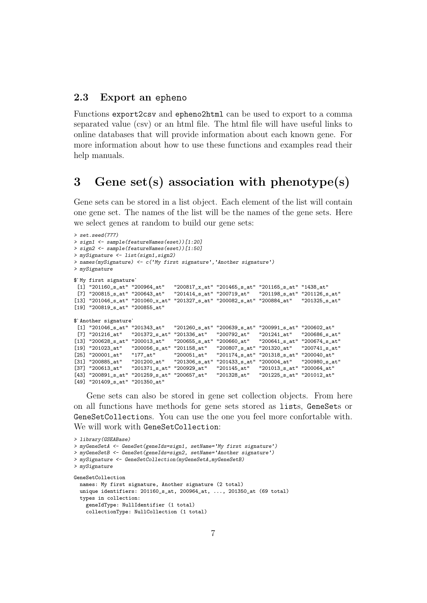#### <span id="page-6-0"></span>2.3 Export an epheno

Functions export2csv and epheno2html can be used to export to a comma separated value (csv) or an html file. The html file will have useful links to online databases that will provide information about each known gene. For more information about how to use these functions and examples read their help manuals.

## <span id="page-6-1"></span>3 Gene set(s) association with phenotype(s)

Gene sets can be stored in a list object. Each element of the list will contain one gene set. The names of the list will be the names of the gene sets. Here we select genes at random to build our gene sets:

```
> set.seed(777)
> sign1 <- sample(featureNames(eset))[1:20]
> sign2 <- sample(featureNames(eset))[1:50]
> mySignature <- list(sign1,sign2)
> names(mySignature) <- c('My first signature','Another signature')
> mySignature
$`My first signature`
  [1] "201160_s_at" "200964_at" "200817_x_at" "201465_s_at" "201165_s_at" "1438_at"
  [7] "200815_s_at" "200643_at" "201414_s_at" "200719_at" "201198_s_at" "201126_s_at"
[13] "201046_s_at" "201060_x_at" "201327_s_at" "200082_s_at" "200884_at" "201325_s_at"
[19] "200819_s_at" "200855_at"
$`Another signature`
 [1] "201046_s_at" "201343_at" "201260_s_at" "200639_s_at" "200991_s_at" "200602_at"<br>[7] "201216 at"   "201372 s at" "201336 at"   "200792 at"   "201241 at"   "200686 s at"
  [7] "201216_at" "201372_s_at" "201336_at" "200792_at" "201241_at" "200686_s_at"
[13] "200628_s_at" "200013_at" "200655_s_at" "200660_at" "200641_s_at" "200674_s_at"
\begin{bmatrix} 19 \end{bmatrix} \begin{bmatrix} 201023\_at^{\sf{it}} & 200056\_s\_at^{\sf{it}} & 201158\_at^{\sf{it}} & 200807\_s\_at^{\sf{it}} & 201320\_at^{\sf{it}} & 200741\_s\_at^{\sf{it}} \\ 201318\_s\_at^{\sf{it}} & 200001\_at^{\sf{it}} & 2010040\_at^{\sf{it}} & 201174\_s\_at^{\sf{it}} & 201318\_s\_at^{\sf{it}} & 200040\_at^[25] "200001_at" "177_at" "200051_at" "201174_s_at" "201318_s_at" "200040_at"
[31] "200885_at" "201200_at" "201306_s_at" "201433_s_at" "200004_at" "200980_s_at"
\begin{bmatrix} 37 \end{bmatrix} \begin{bmatrix} 200613 \end{bmatrix} \begin{bmatrix} 2 \end{bmatrix}^{T} \begin{bmatrix} 2 \end{bmatrix}^{T} \begin{bmatrix} 2 \end{bmatrix} \begin{bmatrix} 2 \end{bmatrix} \begin{bmatrix} 2 \end{bmatrix} \begin{bmatrix} 2 \end{bmatrix} \begin{bmatrix} 2 \end{bmatrix} \begin{bmatrix} 2 \end{bmatrix} \begin{bmatrix} 2 \end{bmatrix} \begin{bmatrix} 2 \end{bmatrix} \begin{bmatrix} 2 \end{bmatrix} \begin{bmatrix} 2 \end{bmatrix} \begin{bmatrix} 2 \end{b[43] "200891_s_at" "201259_s_at" "200657_at" "201328_at" "201225_s_at" "201012_at"
[49] "201409_s_at" "201350_at"
```
Gene sets can also be stored in gene set collection objects. From here on all functions have methods for gene sets stored as lists, GeneSets or GeneSetCollections. You can use the one you feel more confortable with. We will work with GeneSetCollection:

```
> library(GSEABase)
> myGeneSetA <- GeneSet(geneIds=sign1, setName='My first signature')
> myGeneSetB <- GeneSet(geneIds=sign2, setName='Another signature')
> mySignature <- GeneSetCollection(myGeneSetA, myGeneSetB)
> mySignature
GeneSetCollection
  names: My first signature, Another signature (2 total)
  unique identifiers: 201160_s_at, 200964_at, ..., 201350_at (69 total)
  types in collection:
    geneIdType: NullIdentifier (1 total)
    collectionType: NullCollection (1 total)
```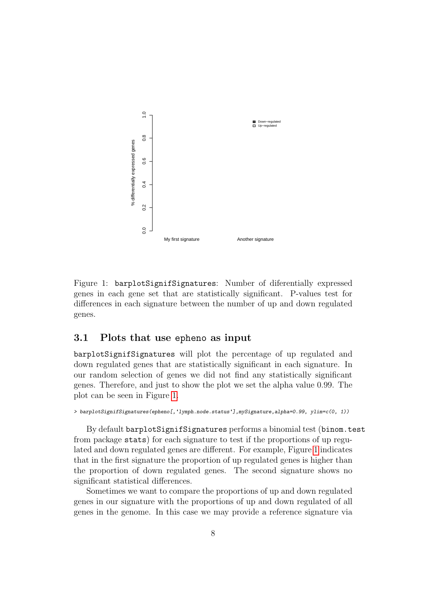

<span id="page-7-1"></span>Figure 1: barplotSignifSignatures: Number of diferentially expressed genes in each gene set that are statistically significant. P-values test for differences in each signature between the number of up and down regulated genes.

#### <span id="page-7-0"></span>3.1 Plots that use epheno as input

barplotSignifSignatures will plot the percentage of up regulated and down regulated genes that are statistically significant in each signature. In our random selection of genes we did not find any statistically significant genes. Therefore, and just to show the plot we set the alpha value 0.99. The plot can be seen in Figure [1.](#page-7-1)

> barplotSignifSignatures(epheno[,'lymph.node.status'],mySignature,alpha=0.99, ylim=c(0, 1))

By default barplotSignifSignatures performs a binomial test (binom.test from package stats) for each signature to test if the proportions of up regulated and down regulated genes are different. For example, Figure [1](#page-7-1) indicates that in the first signature the proportion of up regulated genes is higher than the proportion of down regulated genes. The second signature shows no significant statistical differences.

Sometimes we want to compare the proportions of up and down regulated genes in our signature with the proportions of up and down regulated of all genes in the genome. In this case we may provide a reference signature via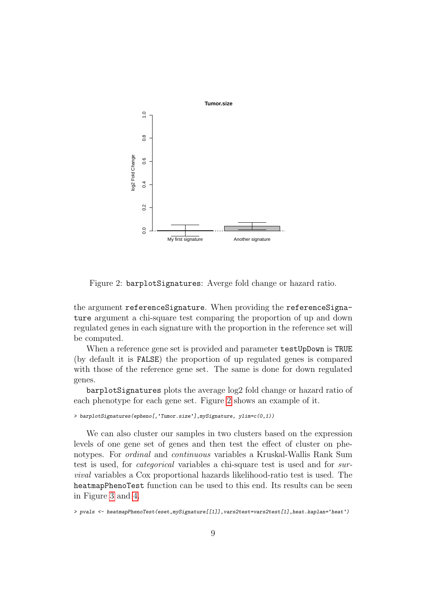

<span id="page-8-0"></span>Figure 2: barplotSignatures: Averge fold change or hazard ratio.

the argument referenceSignature. When providing the referenceSignature argument a chi-square test comparing the proportion of up and down regulated genes in each signature with the proportion in the reference set will be computed.

When a reference gene set is provided and parameter testUpDown is TRUE (by default it is FALSE) the proportion of up regulated genes is compared with those of the reference gene set. The same is done for down regulated genes.

barplotSignatures plots the average log2 fold change or hazard ratio of each phenotype for each gene set. Figure [2](#page-8-0) shows an example of it.

> barplotSignatures(epheno[,'Tumor.size'],mySignature, ylim=c(0,1))

We can also cluster our samples in two clusters based on the expression levels of one gene set of genes and then test the effect of cluster on phenotypes. For ordinal and continuous variables a Kruskal-Wallis Rank Sum test is used, for categorical variables a chi-square test is used and for survival variables a Cox proportional hazards likelihood-ratio test is used. The heatmapPhenoTest function can be used to this end. Its results can be seen in Figure [3](#page-9-1) and [4.](#page-10-0)

> pvals <- heatmapPhenoTest(eset,mySignature[[1]],vars2test=vars2test[1],heat.kaplan='heat')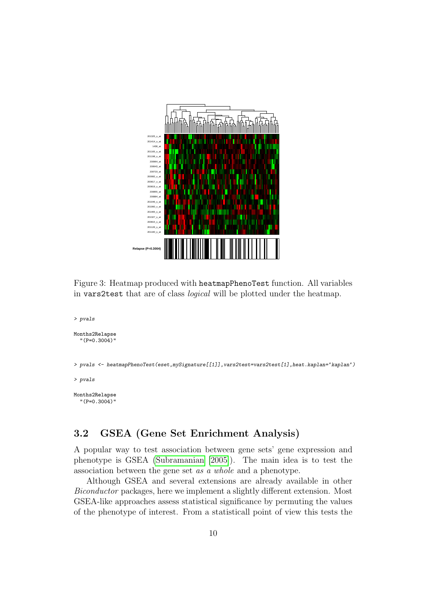

<span id="page-9-1"></span>Figure 3: Heatmap produced with heatmapPhenoTest function. All variables in vars2test that are of class logical will be plotted under the heatmap.

```
> pvals
Months2Relapse
  "(P=0.3004)"
> pvals <- heatmapPhenoTest(eset,mySignature[[1]],vars2test=vars2test[1],heat.kaplan='kaplan')
> pvals
Months2Relapse
  "(P=0.3004)"
```
#### <span id="page-9-0"></span>3.2 GSEA (Gene Set Enrichment Analysis)

A popular way to test association between gene sets' gene expression and phenotype is GSEA [\(Subramanian](#page-15-0) [\[2005\]](#page-15-0)). The main idea is to test the association between the gene set as a whole and a phenotype.

Although GSEA and several extensions are already available in other Biconductor packages, here we implement a slightly different extension. Most GSEA-like approaches assess statistical significance by permuting the values of the phenotype of interest. From a statisticall point of view this tests the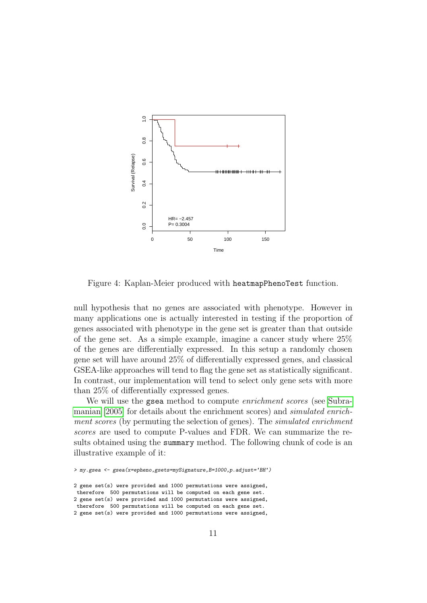

<span id="page-10-0"></span>Figure 4: Kaplan-Meier produced with heatmapPhenoTest function.

null hypothesis that no genes are associated with phenotype. However in many applications one is actually interested in testing if the proportion of genes associated with phenotype in the gene set is greater than that outside of the gene set. As a simple example, imagine a cancer study where 25% of the genes are differentially expressed. In this setup a randomly chosen gene set will have around 25% of differentially expressed genes, and classical GSEA-like approaches will tend to flag the gene set as statistically significant. In contrast, our implementation will tend to select only gene sets with more than 25% of differentially expressed genes.

We will use the gsea method to compute *enrichment scores* (see [Subra](#page-15-0)[manian](#page-15-0) [\[2005\]](#page-15-0) for details about the enrichment scores) and simulated enrichment scores (by permuting the selection of genes). The simulated enrichment scores are used to compute P-values and FDR. We can summarize the results obtained using the summary method. The following chunk of code is an illustrative example of it:

<sup>&</sup>gt; my.gsea <- gsea(x=epheno,gsets=mySignature,B=1000,p.adjust='BH')

<sup>2</sup> gene set(s) were provided and 1000 permutations were assigned, therefore 500 permutations will be computed on each gene set. 2 gene set(s) were provided and 1000 permutations were assigned, therefore 500 permutations will be computed on each gene set. 2 gene set(s) were provided and 1000 permutations were assigned,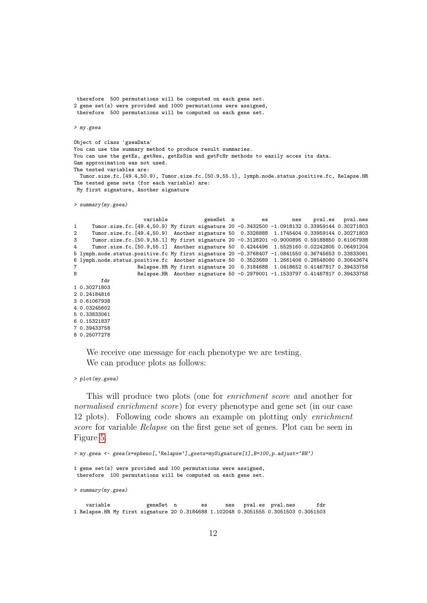```
therefore 500 permutations will be computed on each gene set.
2 gene set(s) were provided and 1000 permutations were assigned,
 therefore 500 permutations will be computed on each gene set.
> my.gsea
Object of class 'gseaData'
You can use the summary method to produce result summaries.
You can use the getEs, getNes, getEsSim and getFcHr methods to easily acces its data.
Gam approximation was not used.
The tested variables are:
 Tumor.size.fc.[49.4,50.9), Tumor.size.fc.[50.9,55.1], lymph.node.status.positive.fc, Relapse.HR
The tested gene sets (for each variable) are:
My first signature, Another signature
> summary(my.gsea)
                      variable geneSet n es nes pval.es pval.nes
1 Tumor.size.fc.[49.4,50.9) My first signature 20 -0.3432500 -1.0918132 0.33959144 0.30271803
2 Tumor.size.fc.[49.4,50.9) Another signature 50 0.3328888 1.1745404 0.33959144 0.30271803
3 Tumor.size.fc.[50.9,55.1] My first signature 20 -0.3128201 -0.9000895 0.59188850 0.61067938
4 Tumor.size.fc.[50.9,55.1] Another signature 50 0.4244496 1.5525160 0.02242805 0.06491204
5 lymph.node.status.positive.fc My first signature 20 -0.3768407 -1.0841550 0.36745653 0.33833061
6 lymph.node.status.positive.fc Another signature 50 0.3523689 1.2661406 0.28548080 0.30643674
7 Relapse.HR My first signature 20 0.3184688 1.0418652 0.41467817 0.39433758
                    8 Relapse.HR Another signature 50 -0.2979001 -1.1533797 0.41467817 0.39433758
        fdr
1 0.30271803
2 0.24184816
3 0.61067938
4 0.03245602
5 0.33833061
6 0.15321837
7 0.39433758
8 0.25077278
```
We receive one message for each phenotype we are testing. We can produce plots as follows:

> plot(my.gsea)

This will produce two plots (one for enrichment score and another for normalised enrichment score) for every phenotype and gene set (in our case 12 plots). Following code shows an example on plotting only enrichment score for variable Relapse on the first gene set of genes. Plot can be seen in Figure [5.](#page-12-0)

```
> my.gsea <- gsea(x=epheno[,'Relapse'],gsets=mySignature[1],B=100,p.adjust='BH')
1 gene set(s) were provided and 100 permutations were assigned,
therefore 100 permutations will be computed on each gene set.
> summary(my.gsea)
   variable geneSet n es nes pval.es pval.nes fdr
1 Relapse.HR My first signature 20 0.3184688 1.102048 0.3051555 0.3051503 0.3051503
```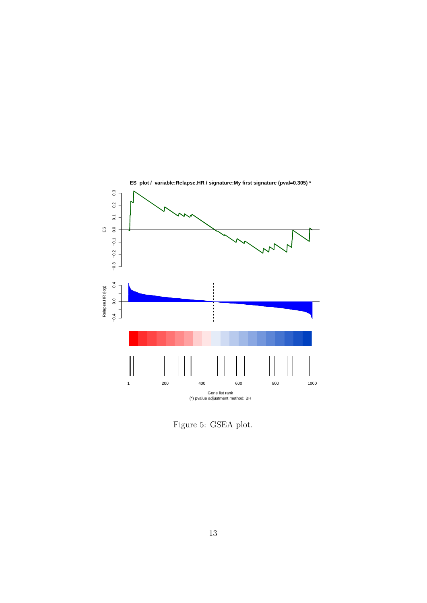

<span id="page-12-0"></span>Figure 5: GSEA plot.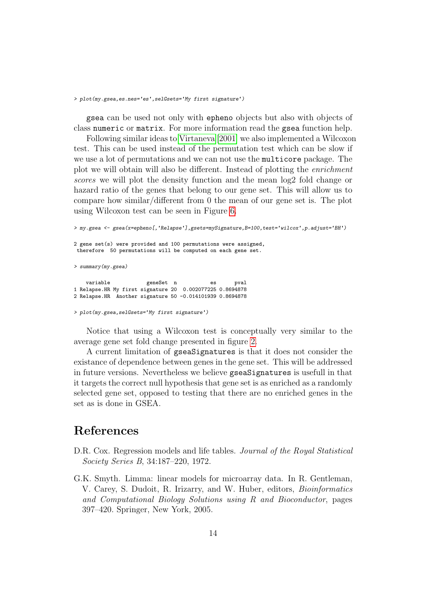> plot(my.gsea,es.nes='es',selGsets='My first signature')

gsea can be used not only with epheno objects but also with objects of class numeric or matrix. For more information read the gsea function help.

Following similar ideas to [Virtaneva](#page-15-1) [\[2001\]](#page-15-1) we also implemented a Wilcoxon test. This can be used instead of the permutation test which can be slow if we use a lot of permutations and we can not use the multicore package. The plot we will obtain will also be different. Instead of plotting the enrichment scores we will plot the density function and the mean log2 fold change or hazard ratio of the genes that belong to our gene set. This will allow us to compare how similar/different from 0 the mean of our gene set is. The plot using Wilcoxon test can be seen in Figure [6.](#page-14-0)

> my.gsea <- gsea(x=epheno[,'Relapse'],gsets=mySignature,B=100,test='wilcox',p.adjust='BH') 2 gene set(s) were provided and 100 permutations were assigned, therefore 50 permutations will be computed on each gene set. > summary(my.gsea) variable **geneSet** n es pval 1 Relapse.HR My first signature 20 0.002077225 0.8694878 2 Relapse.HR Another signature 50 -0.014101939 0.8694878 > plot(my.gsea,selGsets='My first signature')

Notice that using a Wilcoxon test is conceptually very similar to the average gene set fold change presented in figure [2.](#page-8-0)

A current limitation of gseaSignatures is that it does not consider the existance of dependence between genes in the gene set. This will be addressed in future versions. Nevertheless we believe gseaSignatures is usefull in that it targets the correct null hypothesis that gene set is as enriched as a randomly selected gene set, opposed to testing that there are no enriched genes in the set as is done in GSEA.

### References

- <span id="page-13-1"></span>D.R. Cox. Regression models and life tables. Journal of the Royal Statistical Society Series B, 34:187–220, 1972.
- <span id="page-13-0"></span>G.K. Smyth. Limma: linear models for microarray data. In R. Gentleman, V. Carey, S. Dudoit, R. Irizarry, and W. Huber, editors, Bioinformatics and Computational Biology Solutions using R and Bioconductor, pages 397–420. Springer, New York, 2005.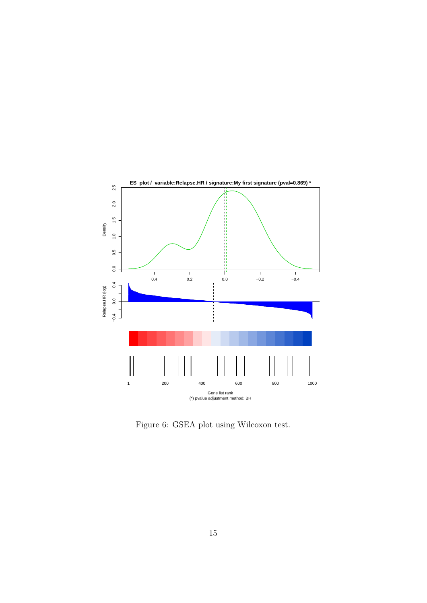

<span id="page-14-0"></span>Figure 6: GSEA plot using Wilcoxon test.